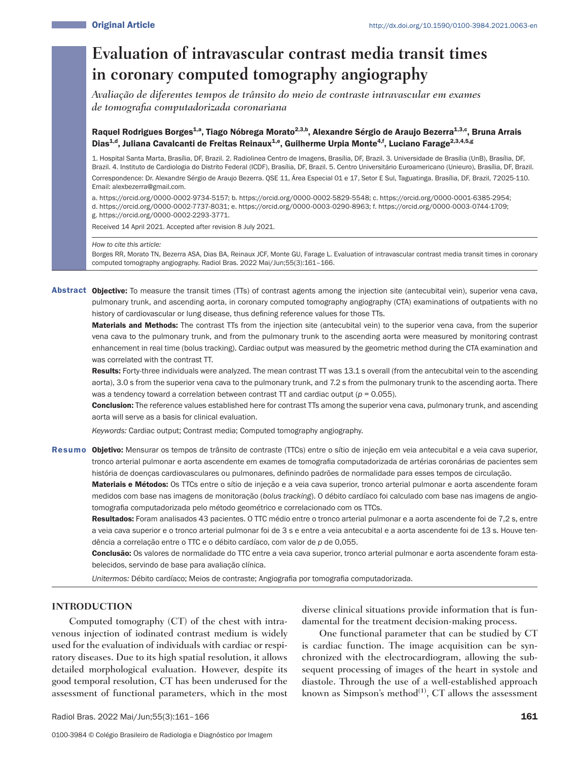# **Evaluation of intravascular contrast media transit times in coronary computed tomography angiography**

*Avaliação de diferentes tempos de trânsito do meio de contraste intravascular em exames de tomografia computadorizada coronariana*

# Raquel Rodrigues Borges<sup>1,a</sup>, Tiago Nóbrega Morato<sup>2,3,b</sup>, Alexandre Sérgio de Araujo Bezerra<sup>1,3,c</sup>, Bruna Arrais Dias<sup>1,d</sup>, Juliana Cavalcanti de Freitas Reinaux<sup>1,e</sup>, Guilherme Urpia Monte<sup>4,f</sup>, Luciano Farage<sup>2,3,4,5,g</sup>

1. Hospital Santa Marta, Brasília, DF, Brazil. 2. Radiolinea Centro de Imagens, Brasília, DF, Brazil. 3. Universidade de Brasília (UnB), Brasília, DF, Brazil. 4. Instituto de Cardiologia do Distrito Federal (ICDF), Brasília, DF, Brazil. 5. Centro Universitário Euroamericano (Unieuro), Brasília, DF, Brazil.

Correspondence: Dr. Alexandre Sérgio de Araujo Bezerra. QSE 11, Área Especial 01 e 17, Setor E Sul, Taguatinga. Brasília, DF, Brazil, 72025-110. Email: alexbezerra@gmail.com.

a. https://orcid.org/0000-0002-9734-5157; b. https://orcid.org/0000-0002-5829-5548; c. https://orcid.org/0000-0001-6385-2954;

- d. https://orcid.org/0000-0002-7737-8031; e. https://orcid.org/0000-0003-0290-8963; f. https://orcid.org/0000-0003-0744-1709;
- g. https://orcid.org/0000-0002-2293-3771.

Received 14 April 2021. Accepted after revision 8 July 2021.

*How to cite this article:*

Borges RR, Morato TN, Bezerra ASA, Dias BA, Reinaux JCF, Monte GU, Farage L. Evaluation of intravascular contrast media transit times in coronary computed tomography angiography. Radiol Bras. 2022 Mai/Jun;55(3):161–166.

Abstract Objective: To measure the transit times (TTs) of contrast agents among the injection site (antecubital vein), superior vena cava, pulmonary trunk, and ascending aorta, in coronary computed tomography angiography (CTA) examinations of outpatients with no history of cardiovascular or lung disease, thus defining reference values for those TTs.

Materials and Methods: The contrast TTs from the injection site (antecubital vein) to the superior vena cava, from the superior vena cava to the pulmonary trunk, and from the pulmonary trunk to the ascending aorta were measured by monitoring contrast enhancement in real time (bolus tracking). Cardiac output was measured by the geometric method during the CTA examination and was correlated with the contrast TT.

Results: Forty-three individuals were analyzed. The mean contrast TT was 13.1 s overall (from the antecubital vein to the ascending aorta), 3.0 s from the superior vena cava to the pulmonary trunk, and 7.2 s from the pulmonary trunk to the ascending aorta. There was a tendency toward a correlation between contrast TT and cardiac output (*p* = 0.055).

Conclusion: The reference values established here for contrast TTs among the superior vena cava, pulmonary trunk, and ascending aorta will serve as a basis for clinical evaluation.

*Keywords:* Cardiac output; Contrast media; Computed tomography angiography.

Resumo Objetivo: Mensurar os tempos de trânsito de contraste (TTCs) entre o sítio de injeção em veia antecubital e a veia cava superior, tronco arterial pulmonar e aorta ascendente em exames de tomografia computadorizada de artérias coronárias de pacientes sem história de doenças cardiovasculares ou pulmonares, definindo padrões de normalidade para esses tempos de circulação.

Materiais e Métodos: Os TTCs entre o sítio de injeção e a veia cava superior, tronco arterial pulmonar e aorta ascendente foram medidos com base nas imagens de monitoração (*bolus tracking*). O débito cardíaco foi calculado com base nas imagens de angiotomografia computadorizada pelo método geométrico e correlacionado com os TTCs.

Resultados: Foram analisados 43 pacientes. O TTC médio entre o tronco arterial pulmonar e a aorta ascendente foi de 7,2 s, entre a veia cava superior e o tronco arterial pulmonar foi de 3 s e entre a veia antecubital e a aorta ascendente foi de 13 s. Houve tendência a correlação entre o TTC e o débito cardíaco, com valor de *p* de 0,055.

Conclusão: Os valores de normalidade do TTC entre a veia cava superior, tronco arterial pulmonar e aorta ascendente foram estabelecidos, servindo de base para avaliação clínica.

*Unitermos:* Débito cardíaco; Meios de contraste; Angiografia por tomografia computadorizada.

# **INTRODUCTION**

Computed tomography (CT) of the chest with intravenous injection of iodinated contrast medium is widely used for the evaluation of individuals with cardiac or respiratory diseases. Due to its high spatial resolution, it allows detailed morphological evaluation. However, despite its good temporal resolution, CT has been underused for the assessment of functional parameters, which in the most diverse clinical situations provide information that is fundamental for the treatment decision-making process.

One functional parameter that can be studied by CT is cardiac function. The image acquisition can be synchronized with the electrocardiogram, allowing the subsequent processing of images of the heart in systole and diastole. Through the use of a well-established approach known as Simpson's method<sup>(1)</sup>, CT allows the assessment

Radiol Bras. 2022 Mai/Jun;55(3):161-166 161 March 2016 161 March 2016 161 March 2016 161 March 2016 161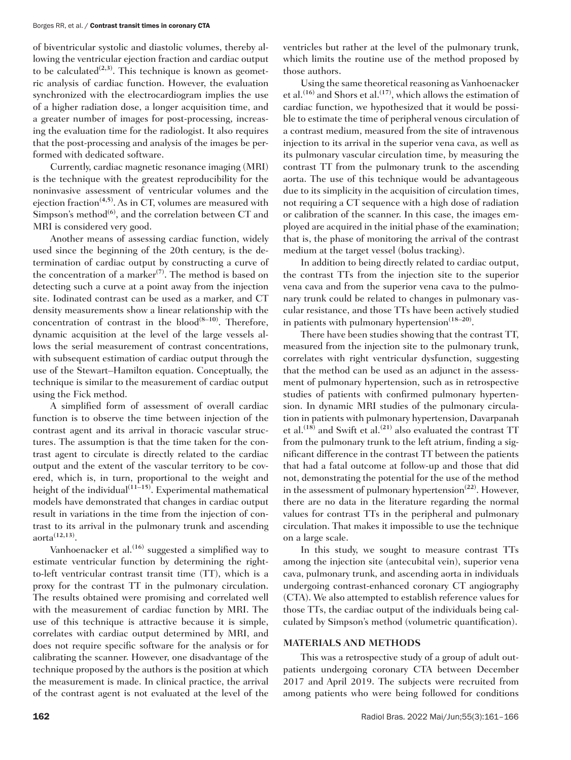### Borges RR, et al. / Contrast transit times in coronary CTA

of biventricular systolic and diastolic volumes, thereby allowing the ventricular ejection fraction and cardiac output to be calculated<sup> $(2,3)$ </sup>. This technique is known as geometric analysis of cardiac function. However, the evaluation synchronized with the electrocardiogram implies the use of a higher radiation dose, a longer acquisition time, and a greater number of images for post-processing, increasing the evaluation time for the radiologist. It also requires that the post-processing and analysis of the images be performed with dedicated software.

Currently, cardiac magnetic resonance imaging (MRI) is the technique with the greatest reproducibility for the noninvasive assessment of ventricular volumes and the ejection fraction**(4,5)**. As in CT, volumes are measured with Simpson's method<sup>(6)</sup>, and the correlation between CT and MRI is considered very good.

Another means of assessing cardiac function, widely used since the beginning of the 20th century, is the determination of cardiac output by constructing a curve of the concentration of a marker**(7)**. The method is based on detecting such a curve at a point away from the injection site. Iodinated contrast can be used as a marker, and CT density measurements show a linear relationship with the concentration of contrast in the  $blood^{(8-10)}$ . Therefore, dynamic acquisition at the level of the large vessels allows the serial measurement of contrast concentrations, with subsequent estimation of cardiac output through the use of the Stewart–Hamilton equation. Conceptually, the technique is similar to the measurement of cardiac output using the Fick method.

A simplified form of assessment of overall cardiac function is to observe the time between injection of the contrast agent and its arrival in thoracic vascular structures. The assumption is that the time taken for the contrast agent to circulate is directly related to the cardiac output and the extent of the vascular territory to be covered, which is, in turn, proportional to the weight and height of the individual**(11–15)**. Experimental mathematical models have demonstrated that changes in cardiac output result in variations in the time from the injection of contrast to its arrival in the pulmonary trunk and ascending aorta**(12,13)**.

Vanhoenacker et al.**(16)** suggested a simplified way to estimate ventricular function by determining the rightto-left ventricular contrast transit time (TT), which is a proxy for the contrast TT in the pulmonary circulation. The results obtained were promising and correlated well with the measurement of cardiac function by MRI. The use of this technique is attractive because it is simple, correlates with cardiac output determined by MRI, and does not require specific software for the analysis or for calibrating the scanner. However, one disadvantage of the technique proposed by the authors is the position at which the measurement is made. In clinical practice, the arrival of the contrast agent is not evaluated at the level of the

ventricles but rather at the level of the pulmonary trunk, which limits the routine use of the method proposed by those authors.

Using the same theoretical reasoning as Vanhoenacker et al.**(16)** and Shors et al.**(17)**, which allows the estimation of cardiac function, we hypothesized that it would be possible to estimate the time of peripheral venous circulation of a contrast medium, measured from the site of intravenous injection to its arrival in the superior vena cava, as well as its pulmonary vascular circulation time, by measuring the contrast TT from the pulmonary trunk to the ascending aorta. The use of this technique would be advantageous due to its simplicity in the acquisition of circulation times, not requiring a CT sequence with a high dose of radiation or calibration of the scanner. In this case, the images employed are acquired in the initial phase of the examination; that is, the phase of monitoring the arrival of the contrast medium at the target vessel (bolus tracking).

In addition to being directly related to cardiac output, the contrast TTs from the injection site to the superior vena cava and from the superior vena cava to the pulmonary trunk could be related to changes in pulmonary vascular resistance, and those TTs have been actively studied in patients with pulmonary hypertension**(18–20)**.

There have been studies showing that the contrast TT, measured from the injection site to the pulmonary trunk, correlates with right ventricular dysfunction, suggesting that the method can be used as an adjunct in the assessment of pulmonary hypertension, such as in retrospective studies of patients with confirmed pulmonary hypertension. In dynamic MRI studies of the pulmonary circulation in patients with pulmonary hypertension, Davarpanah et al.**(18)** and Swift et al.**(21)** also evaluated the contrast TT from the pulmonary trunk to the left atrium, finding a significant difference in the contrast TT between the patients that had a fatal outcome at follow-up and those that did not, demonstrating the potential for the use of the method in the assessment of pulmonary hypertension**(22)**. However, there are no data in the literature regarding the normal values for contrast TTs in the peripheral and pulmonary circulation. That makes it impossible to use the technique on a large scale.

In this study, we sought to measure contrast TTs among the injection site (antecubital vein), superior vena cava, pulmonary trunk, and ascending aorta in individuals undergoing contrast-enhanced coronary CT angiography (CTA). We also attempted to establish reference values for those TTs, the cardiac output of the individuals being calculated by Simpson's method (volumetric quantification).

## **MATERIALS AND METHODS**

This was a retrospective study of a group of adult outpatients undergoing coronary CTA between December 2017 and April 2019. The subjects were recruited from among patients who were being followed for conditions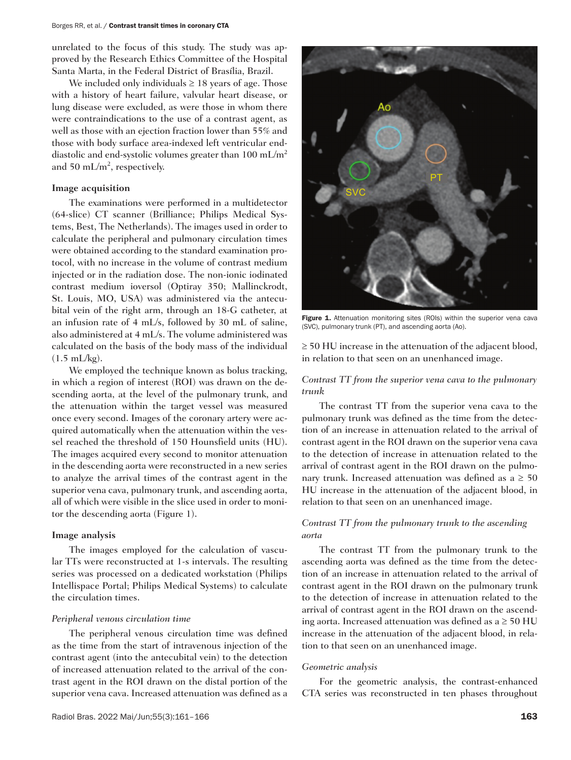### Borges RR, et al. / Contrast transit times in coronary CTA

unrelated to the focus of this study. The study was approved by the Research Ethics Committee of the Hospital Santa Marta, in the Federal District of Brasília, Brazil.

We included only individuals  $\geq 18$  years of age. Those with a history of heart failure, valvular heart disease, or lung disease were excluded, as were those in whom there were contraindications to the use of a contrast agent, as well as those with an ejection fraction lower than 55% and those with body surface area-indexed left ventricular enddiastolic and end-systolic volumes greater than 100 mL/m<sup>2</sup> and 50 mL/m<sup>2</sup>, respectively.

## **Image acquisition**

The examinations were performed in a multidetector (64-slice) CT scanner (Brilliance; Philips Medical Systems, Best, The Netherlands). The images used in order to calculate the peripheral and pulmonary circulation times were obtained according to the standard examination protocol, with no increase in the volume of contrast medium injected or in the radiation dose. The non-ionic iodinated contrast medium ioversol (Optiray 350; Mallinckrodt, St. Louis, MO, USA) was administered via the antecubital vein of the right arm, through an 18-G catheter, at an infusion rate of 4 mL/s, followed by 30 mL of saline, also administered at 4 mL/s. The volume administered was calculated on the basis of the body mass of the individual  $(1.5 \text{ mL/kg})$ .

We employed the technique known as bolus tracking, in which a region of interest (ROI) was drawn on the descending aorta, at the level of the pulmonary trunk, and the attenuation within the target vessel was measured once every second. Images of the coronary artery were acquired automatically when the attenuation within the vessel reached the threshold of 150 Hounsfield units (HU). The images acquired every second to monitor attenuation in the descending aorta were reconstructed in a new series to analyze the arrival times of the contrast agent in the superior vena cava, pulmonary trunk, and ascending aorta, all of which were visible in the slice used in order to monitor the descending aorta (Figure 1).

## **Image analysis**

The images employed for the calculation of vascular TTs were reconstructed at 1-s intervals. The resulting series was processed on a dedicated workstation (Philips Intellispace Portal; Philips Medical Systems) to calculate the circulation times.

## *Peripheral venous circulation time*

The peripheral venous circulation time was defined as the time from the start of intravenous injection of the contrast agent (into the antecubital vein) to the detection of increased attenuation related to the arrival of the contrast agent in the ROI drawn on the distal portion of the superior vena cava. Increased attenuation was defined as a



Figure 1. Attenuation monitoring sites (ROIs) within the superior vena cava (SVC), pulmonary trunk (PT), and ascending aorta (Ao).

≥ 50 HU increase in the attenuation of the adjacent blood, in relation to that seen on an unenhanced image.

# *Contrast TT from the superior vena cava to the pulmonary trunk*

The contrast TT from the superior vena cava to the pulmonary trunk was defined as the time from the detection of an increase in attenuation related to the arrival of contrast agent in the ROI drawn on the superior vena cava to the detection of increase in attenuation related to the arrival of contrast agent in the ROI drawn on the pulmonary trunk. Increased attenuation was defined as a  $\geq 50$ HU increase in the attenuation of the adjacent blood, in relation to that seen on an unenhanced image.

# *Contrast TT from the pulmonary trunk to the ascending aorta*

The contrast TT from the pulmonary trunk to the ascending aorta was defined as the time from the detection of an increase in attenuation related to the arrival of contrast agent in the ROI drawn on the pulmonary trunk to the detection of increase in attenuation related to the arrival of contrast agent in the ROI drawn on the ascending aorta. Increased attenuation was defined as a  $\geq 50$  HU increase in the attenuation of the adjacent blood, in relation to that seen on an unenhanced image.

## *Geometric analysis*

For the geometric analysis, the contrast-enhanced CTA series was reconstructed in ten phases throughout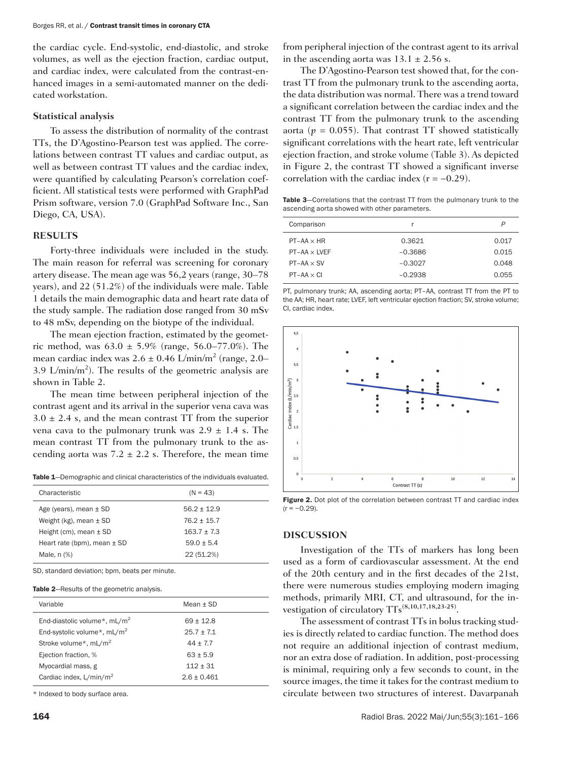the cardiac cycle. End-systolic, end-diastolic, and stroke volumes, as well as the ejection fraction, cardiac output, and cardiac index, were calculated from the contrast-enhanced images in a semi-automated manner on the dedicated workstation.

## **Statistical analysis**

To assess the distribution of normality of the contrast TTs, the D'Agostino-Pearson test was applied. The correlations between contrast TT values and cardiac output, as well as between contrast TT values and the cardiac index, were quantified by calculating Pearson's correlation coefficient. All statistical tests were performed with GraphPad Prism software, version 7.0 (GraphPad Software Inc., San Diego, CA, USA).

## **RESULTS**

Forty-three individuals were included in the study. The main reason for referral was screening for coronary artery disease. The mean age was 56,2 years (range, 30–78 years), and 22 (51.2%) of the individuals were male. Table 1 details the main demographic data and heart rate data of the study sample. The radiation dose ranged from 30 mSv to 48 mSv, depending on the biotype of the individual.

The mean ejection fraction, estimated by the geometric method, was  $63.0 \pm 5.9\%$  (range,  $56.0 - 77.0\%$ ). The mean cardiac index was 2.6  $\pm$  0.46 L/min/m<sup>2</sup> (range, 2.0– 3.9 L/min/m<sup>2</sup>). The results of the geometric analysis are shown in Table 2.

The mean time between peripheral injection of the contrast agent and its arrival in the superior vena cava was  $3.0 \pm 2.4$  s, and the mean contrast TT from the superior vena cava to the pulmonary trunk was  $2.9 \pm 1.4$  s. The mean contrast TT from the pulmonary trunk to the ascending aorta was  $7.2 \pm 2.2$  s. Therefore, the mean time

Table 1—Demographic and clinical characteristics of the individuals evaluated.

| Characteristic                  | $(N = 43)$    |
|---------------------------------|---------------|
| Age (years), mean $\pm$ SD      | $56.2 + 12.9$ |
| Weight (kg), mean $\pm$ SD      | $76.2 + 15.7$ |
| Height (cm), mean $\pm$ SD      | $163.7 + 7.3$ |
| Heart rate (bpm), mean $\pm$ SD | $59.0 + 5.4$  |
| Male, $n$ $%$                   | 22 (51.2%)    |

SD, standard deviation; bpm, beats per minute.

#### Table 2-Results of the geometric analysis.

| Variable                                | Mean $\pm$ SD |
|-----------------------------------------|---------------|
| End-diastolic volume*, $mL/m^2$         | $69 \pm 12.8$ |
| End-systolic volume*, mL/m <sup>2</sup> | $25.7 + 7.1$  |
| Stroke volume*, mL/m <sup>2</sup>       | $44 + 7.7$    |
| Ejection fraction, %                    | $63 + 5.9$    |
| Myocardial mass, g                      | $112 \pm 31$  |
| Cardiac index, L/min/m <sup>2</sup>     | $2.6 + 0.461$ |

\* Indexed to body surface area.

from peripheral injection of the contrast agent to its arrival in the ascending aorta was  $13.1 \pm 2.56$  s.

The D'Agostino-Pearson test showed that, for the contrast TT from the pulmonary trunk to the ascending aorta, the data distribution was normal. There was a trend toward a significant correlation between the cardiac index and the contrast TT from the pulmonary trunk to the ascending aorta ( $p = 0.055$ ). That contrast TT showed statistically significant correlations with the heart rate, left ventricular ejection fraction, and stroke volume (Table 3). As depicted in Figure 2, the contrast TT showed a significant inverse correlation with the cardiac index  $(r = -0.29)$ .

Table 3-Correlations that the contrast TT from the pulmonary trunk to the ascending aorta showed with other parameters.

| Comparison          |           | P     |
|---------------------|-----------|-------|
| $PT-AA \times HR$   | 0.3621    | 0.017 |
| $PT-AA \times LVEF$ | $-0.3686$ | 0.015 |
| $PT-AA \times SV$   | $-0.3027$ | 0.048 |
| $PT-AA \times CI$   | $-0.2938$ | 0.055 |
|                     |           |       |

PT, pulmonary trunk; AA, ascending aorta; PT–AA, contrast TT from the PT to the AA; HR, heart rate; LVEF, left ventricular ejection fraction; SV, stroke volume; CI, cardiac index.



Figure 2. Dot plot of the correlation between contrast TT and cardiac index  $(r = -0.29)$ .

## **DISCUSSION**

Investigation of the TTs of markers has long been used as a form of cardiovascular assessment. At the end of the 20th century and in the first decades of the 21st, there were numerous studies employing modern imaging methods, primarily MRI, CT, and ultrasound, for the investigation of circulatory TTs**(8,10,17,18,23-25)**.

The assessment of contrast TTs in bolus tracking studies is directly related to cardiac function. The method does not require an additional injection of contrast medium, nor an extra dose of radiation. In addition, post-processing is minimal, requiring only a few seconds to count, in the source images, the time it takes for the contrast medium to circulate between two structures of interest. Davarpanah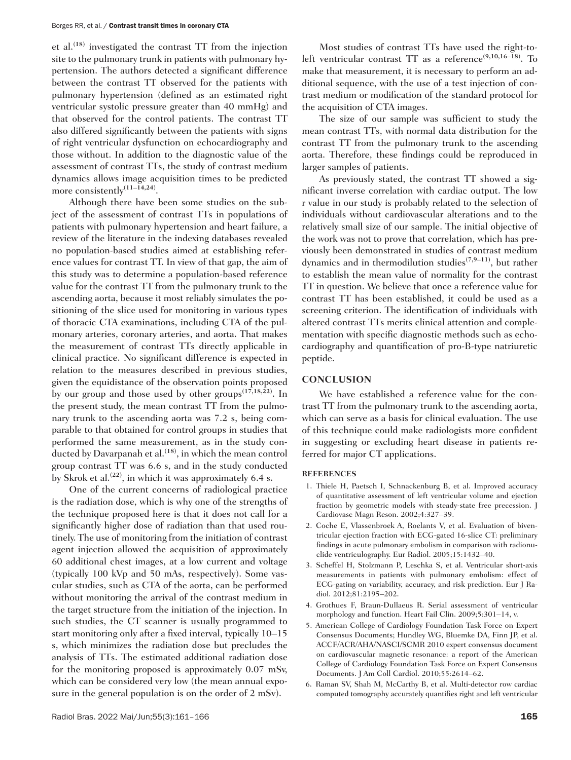et al.**(18)** investigated the contrast TT from the injection site to the pulmonary trunk in patients with pulmonary hypertension. The authors detected a significant difference between the contrast TT observed for the patients with pulmonary hypertension (defined as an estimated right ventricular systolic pressure greater than 40 mmHg) and that observed for the control patients. The contrast TT also differed significantly between the patients with signs of right ventricular dysfunction on echocardiography and those without. In addition to the diagnostic value of the assessment of contrast TTs, the study of contrast medium dynamics allows image acquisition times to be predicted more consistently**(11–14,24)**.

Although there have been some studies on the subject of the assessment of contrast TTs in populations of patients with pulmonary hypertension and heart failure, a review of the literature in the indexing databases revealed no population-based studies aimed at establishing reference values for contrast TT. In view of that gap, the aim of this study was to determine a population-based reference value for the contrast TT from the pulmonary trunk to the ascending aorta, because it most reliably simulates the positioning of the slice used for monitoring in various types of thoracic CTA examinations, including CTA of the pulmonary arteries, coronary arteries, and aorta. That makes the measurement of contrast TTs directly applicable in clinical practice. No significant difference is expected in relation to the measures described in previous studies, given the equidistance of the observation points proposed by our group and those used by other groups**(17,18,22)**. In the present study, the mean contrast TT from the pulmonary trunk to the ascending aorta was 7.2 s, being comparable to that obtained for control groups in studies that performed the same measurement, as in the study conducted by Davarpanah et al.**(18)**, in which the mean control group contrast TT was 6.6 s, and in the study conducted by Skrok et al.**(22)**, in which it was approximately 6.4 s.

One of the current concerns of radiological practice is the radiation dose, which is why one of the strengths of the technique proposed here is that it does not call for a significantly higher dose of radiation than that used routinely. The use of monitoring from the initiation of contrast agent injection allowed the acquisition of approximately 60 additional chest images, at a low current and voltage (typically 100 kVp and 50 mAs, respectively). Some vascular studies, such as CTA of the aorta, can be performed without monitoring the arrival of the contrast medium in the target structure from the initiation of the injection. In such studies, the CT scanner is usually programmed to start monitoring only after a fixed interval, typically 10–15 s, which minimizes the radiation dose but precludes the analysis of TTs. The estimated additional radiation dose for the monitoring proposed is approximately 0.07 mSv, which can be considered very low (the mean annual exposure in the general population is on the order of 2 mSv).

Most studies of contrast TTs have used the right-toleft ventricular contrast TT as a reference**(9,10,16–18)**. To make that measurement, it is necessary to perform an additional sequence, with the use of a test injection of contrast medium or modification of the standard protocol for the acquisition of CTA images.

The size of our sample was sufficient to study the mean contrast TTs, with normal data distribution for the contrast TT from the pulmonary trunk to the ascending aorta. Therefore, these findings could be reproduced in larger samples of patients.

As previously stated, the contrast TT showed a significant inverse correlation with cardiac output. The low r value in our study is probably related to the selection of individuals without cardiovascular alterations and to the relatively small size of our sample. The initial objective of the work was not to prove that correlation, which has previously been demonstrated in studies of contrast medium dynamics and in thermodilution studies**(7,9–11)**, but rather to establish the mean value of normality for the contrast TT in question. We believe that once a reference value for contrast TT has been established, it could be used as a screening criterion. The identification of individuals with altered contrast TTs merits clinical attention and complementation with specific diagnostic methods such as echocardiography and quantification of pro-B-type natriuretic peptide.

## **CONCLUSION**

We have established a reference value for the contrast TT from the pulmonary trunk to the ascending aorta, which can serve as a basis for clinical evaluation. The use of this technique could make radiologists more confident in suggesting or excluding heart disease in patients referred for major CT applications.

## **REFERENCES**

- 1. Thiele H, Paetsch I, Schnackenburg B, et al. Improved accuracy of quantitative assessment of left ventricular volume and ejection fraction by geometric models with steady-state free precession. J Cardiovasc Magn Reson. 2002;4:327–39.
- 2. Coche E, Vlassenbroek A, Roelants V, et al. Evaluation of biventricular ejection fraction with ECG-gated 16-slice CT: preliminary findings in acute pulmonary embolism in comparison with radionuclide ventriculography. Eur Radiol. 2005;15:1432–40.
- 3. Scheffel H, Stolzmann P, Leschka S, et al. Ventricular short-axis measurements in patients with pulmonary embolism: effect of ECG-gating on variability, accuracy, and risk prediction. Eur J Radiol. 2012;81:2195–202.
- 4. Grothues F, Braun-Dullaeus R. Serial assessment of ventricular morphology and function. Heart Fail Clin. 2009;5:301–14, v.
- 5. American College of Cardiology Foundation Task Force on Expert Consensus Documents; Hundley WG, Bluemke DA, Finn JP, et al. ACCF/ACR/AHA/NASCI/SCMR 2010 expert consensus document on cardiovascular magnetic resonance: a report of the American College of Cardiology Foundation Task Force on Expert Consensus Documents. J Am Coll Cardiol. 2010;55:2614–62.
- 6. Raman SV, Shah M, McCarthy B, et al. Multi-detector row cardiac computed tomography accurately quantifies right and left ventricular